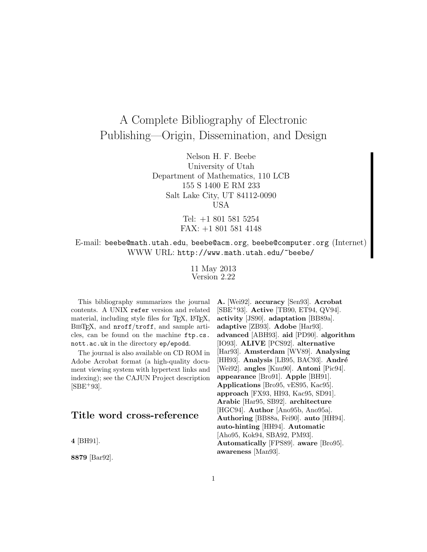# A Complete Bibliography of Electronic Publishing—Origin, Dissemination, and Design

Nelson H. F. Beebe University of Utah Department of Mathematics, 110 LCB 155 S 1400 E RM 233 Salt Lake City, UT 84112-0090 USA

> Tel: +1 801 581 5254 FAX: +1 801 581 4148

E-mail: beebe@math.utah.edu, beebe@acm.org, beebe@computer.org (Internet) WWW URL: http://www.math.utah.edu/~beebe/

> 11 May 2013 Version 2.22

This bibliography summarizes the journal contents. A UNIX refer version and related material, including style files for T<sub>E</sub>X, L<sup>A</sup>T<sub>E</sub>X, BibTEX, and nroff/troff, and sample articles, can be found on the machine ftp.cs. nott.ac.uk in the directory ep/epodd.

The journal is also available on CD ROM in Adobe Acrobat format (a high-quality document viewing system with hypertext links and indexing); see the CAJUN Project description  $[SBE+93]$ .

# **Title word cross-reference**

**4** [BH91].

**8879** [Bar92].

**A.** [Wei92]. **accuracy** [Sen93]. **Acrobat** [SBE<sup>+</sup>93]. **Active** [TB90, ET94, QV94]. **activity** [JS90]. **adaptation** [BB89a]. **adaptive** [ZB93]. **Adobe** [Har93]. **advanced** [ABH93]. **aid** [PD90]. **algorithm** [IO93]. **ALIVE** [PCS92]. **alternative** [Har93]. **Amsterdam** [WV89]. **Analysing** [HH93]. **Analysis** [LB95, BAC93]. **André** [Wei92]. **angles** [Knu90]. **Antoni** [Pic94]. **appearance** [Bro91]. **Apple** [BH91]. **Applications** [Bro95, vES95, Kac95]. **approach** [FX93, HI93, Kac95, SD91]. **Arabic** [Har95, SB92]. **architecture** [HGC94]. **Author** [Ano95b, Ano95a]. **Authoring** [BB88a, Fei90]. **auto** [HH94]. **auto-hinting** [HH94]. **Automatic** [Aho95, Kok94, SBA92, PM93]. **Automatically** [FPS89]. **aware** [Bro95]. **awareness** [Man93].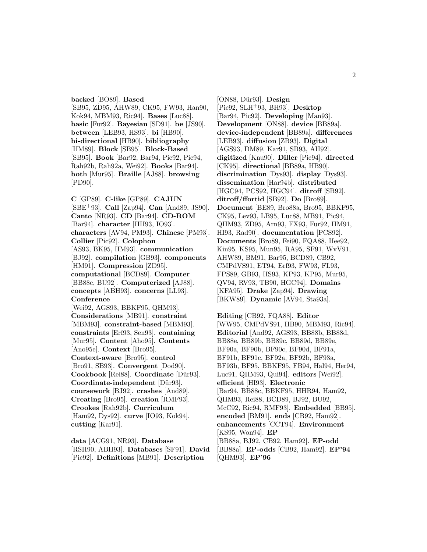**backed** [BO89]. **Based** [SB95, ZD95, AHW89, CK95, FW93, Han90, Kok94, MBM93, Ric94]. **Bases** [Luc88]. **basic** [Fur92]. **Bayesian** [SD91]. **be** [JS90]. **between** [LEB93, HS93]. **bi** [HB90]. **bi-directional** [HB90]. **bibliography** [HM89]. **Block** [SB95]. **Block-Based** [SB95]. **Book** [Bar92, Bar94, Pic92, Pic94, Rah92b, Rah92a, Wei92]. **Books** [Bar94]. **both** [Mur95]. **Braille** [AJ88]. **browsing** [PD90].

**C** [GP89]. **C-like** [GP89]. **CAJUN** [SBE<sup>+</sup>93]. **Call** [Zap94]. **Can** [And89, JS90]. **Canto** [NR93]. **CD** [Bar94]. **CD-ROM** [Bar94]. **character** [HH93, IO93]. **characters** [AV94, PM93]. **Chinese** [PM93]. **Collier** [Pic92]. **Colophon** [AS93, BK95, HM93]. **communication** [BJ92]. **compilation** [GB93]. **components** [HM91]. **Compression** [ZD95]. **computational** [BCD89]. **Computer** [BB88c, BU92]. **Computerized** [AJ88]. **concepts** [ABH93]. **concerns** [LL93]. **Conference** [Wei92, AGS93, BBKF95, QHM93]. **Considerations** [MB91]. **constraint** [MBM93]. **constraint-based** [MBM93]. **constraints** [Erf93, Sen93]. **containing** [Mur95]. **Content** [Aho95]. **Contents** [Ano95e]. **Context** [Bro95]. **Context-aware** [Bro95]. **control** [Bro91, SB93]. **Convergent** [Dod90]. **Cookbook** [Rei88]. **Coordinate** [D¨ur93]. **Coordinate-independent** [Dür93]. **coursework** [BJ92]. **crashes** [And89]. **Creating** [Bro95]. **creation** [RMF93]. **Crookes** [Rah92b]. **Curriculum** [Ham92, Dys92]. **curve** [IO93, Kok94]. **cutting** [Kar91].

**data** [ACG91, NR93]. **Database** [RSH90, ABH93]. **Databases** [SF91]. **David** [Pic92]. **Definitions** [MB91]. **Description**

[ON88, D¨ur93]. **Design** [Pic92, SLH<sup>+</sup>93, BH93]. **Desktop** [Bar94, Pic92]. **Developing** [Man93]. **Development** [ON88]. **device** [BB89a]. **device-independent** [BB89a]. **differences** [LEB93]. **diffusion** [ZB93]. **Digital** [AGS93, DM89, Kar91, SB93, AH92]. **digitized** [Knu90]. **Diller** [Pic94]. **directed** [CK95]. **directional** [BB89a, HB90]. **discrimination** [Dys93]. **display** [Dys93]. **dissemination** [Har94b]. **distributed** [HGC94, PCS92, HGC94]. **ditroff** [SB92]. **ditroff/ffortid** [SB92]. **Do** [Bro89]. **Document** [BE89, Bro88a, Bro95, BBKF95, CK95, Lev93, LB95, Luc88, MB91, Pic94, QHM93, ZD95, Arn93, FX93, Fur92, HM91, HI93, Rad90]. **documentation** [PCS92]. **Documents** [Bro89, Fei90, FQA88, Hee92, Kin95, KS95, Mun95, RA95, SF91, WvV91, AHW89, BM91, Bar95, BCD89, CB92, CMPdVS91, ET94, Erf93, FW93, FL93, FPS89, GB93, HS93, KP93, KP95, Mur95, QV94, RV93, TB90, HGC94]. **Domains** [KFA95]. **Drake** [Zap94]. **Drawing** [BKW89]. **Dynamic** [AV94, Sta93a].

**Editing** [CB92, FQA88]. **Editor** [WW95, CMPdVS91, HB90, MBM93, Ric94]. **Editorial** [And92, AGS93, BB88b, BB88d, BB88e, BB89b, BB89c, BB89d, BB89e, BF90a, BF90b, BF90c, BF90d, BF91a, BF91b, BF91c, BF92a, BF92b, BF93a, BF93b, BF95, BBKF95, FB94, Hal94, Her94, Luc91, QHM93, Qui94]. **editors** [Wei92]. **efficient** [HI93]. **Electronic** [Bar94, BB88c, BBKF95, HHR94, Ham92, QHM93, Rei88, BCD89, BJ92, BU92, McC92, Ric94, RMF93]. **Embedded** [BB95]. **encoded** [BM91]. **ends** [CB92, Ham92]. **enhancements** [CCT94]. **Environment** [KS95, Won94]. **EP** [BB88a, BJ92, CB92, Ham92]. **EP-odd** [BB88a]. **EP-odds** [CB92, Ham92]. **EP'94** [QHM93]. **EP'96**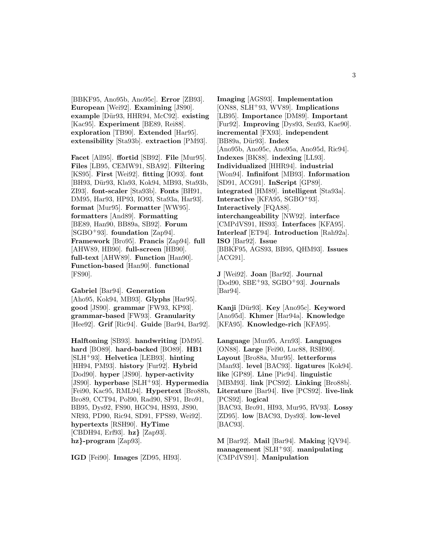[BBKF95, Ano95b, Ano95c]. **Error** [ZB93]. **European** [Wei92]. **Examining** [JS90]. **example** [Dür93, HHR94, McC92]. **existing** [Kac95]. **Experiment** [BE89, Rei88]. **exploration** [TB90]. **Extended** [Har95]. **extensibility** [Sta93b]. **extraction** [PM93].

**Facet** [All95]. **ffortid** [SB92]. **File** [Mur95]. **Files** [LB95, CEMW91, SBA92]. **Filtering** [KS95]. **First** [Wei92]. **fitting** [IO93]. **font** [BH93, Dür93, Kla93, Kok94, MB93, Sta93b, ZI93]. **font-scaler** [Sta93b]. **Fonts** [BH91, DM95, Har93, HP93, IO93, Sta93a, Har93]. **format** [Mur95]. **Formatter** [WW95]. **formatters** [And89]. **Formatting** [BE89, Han90, BB89a, SB92]. **Forum** [SGBO<sup>+</sup>93]. **foundation** [Zap94]. **Framework** [Bro95]. **Francis** [Zap94]. **full** [AHW89, HB90]. **full-screen** [HB90]. **full-text** [AHW89]. **Function** [Han90]. **Function-based** [Han90]. **functional** [FS90].

**Gabriel** [Bar94]. **Generation** [Aho95, Kok94, MB93]. **Glyphs** [Har95]. **good** [JS90]. **grammar** [FW93, KP93]. **grammar-based** [FW93]. **Granularity** [Hee92]. **Grif** [Ric94]. **Guide** [Bar94, Bar92].

**Halftoning** [SB93]. **handwriting** [DM95]. **hard** [BO89]. **hard-backed** [BO89]. **HB1** [SLH<sup>+</sup>93]. **Helvetica** [LEB93]. **hinting** [HH94, PM93]. **history** [Fur92]. **Hybrid** [Dod90]. **hyper** [JS90]. **hyper-activity** [JS90]. **hyperbase** [SLH<sup>+</sup>93]. **Hypermedia** [Fei90, Kac95, RML94]. **Hypertext** [Bro88b, Bro89, CCT94, Pol90, Rad90, SF91, Bro91, BB95, Dys92, FS90, HGC94, HS93, JS90, NR93, PD90, Ric94, SD91, FPS89, Wei92]. **hypertexts** [RSH90]. **HyTime** [CBDH94, Erf93]. **hz***}* [Zap93]. **hz***}***-program** [Zap93].

**IGD** [Fei90]. **Images** [ZD95, HI93].

**Imaging** [AGS93]. **Implementation** [ON88, SLH<sup>+</sup>93, WV89]. **Implications** [LB95]. **Importance** [DM89]. **Important** [Fur92]. **Improving** [Dys93, Sen93, Kae90]. **incremental** [FX93]. **independent** [BB89a, Dür93]. **Index** [Ano95b, Ano95c, Ano95a, Ano95d, Ric94]. **Indexes** [BK88]. **indexing** [LL93]. **Individualized** [HHR94]. **industrial** [Won94]. **Infinifont** [MB93]. **Information** [SD91, ACG91]. **InScript** [GP89]. **integrated** [HM89]. **intelligent** [Sta93a]. **Interactive** [KFA95, SGBO<sup>+</sup>93]. **Interactively** [FQA88]. **interchangeability** [NW92]. **interface** [CMPdVS91, HS93]. **Interfaces** [KFA95]. **Interleaf** [ET94]. **Introduction** [Rah92a]. **ISO** [Bar92]. **Issue** [BBKF95, AGS93, BB95, QHM93]. **Issues** [ACG91].

**J** [Wei92]. **Joan** [Bar92]. **Journal** [Dod90, SBE<sup>+</sup>93, SGBO<sup>+</sup>93]. **Journals** [Bar94].

**Kanji** [Dür93]. **Key** [Ano95c]. **Keyword** [Ano95d]. **Khmer** [Har94a]. **Knowledge** [KFA95]. **Knowledge-rich** [KFA95].

**Language** [Mun95, Arn93]. **Languages** [ON88]. **Large** [Fei90, Luc88, RSH90]. **Layout** [Bro88a, Mur95]. **letterforms** [Man93]. **level** [BAC93]. **ligatures** [Kok94]. **like** [GP89]. **Line** [Pic94]. **linguistic** [MBM93]. **link** [PCS92]. **Linking** [Bro88b]. **Literature** [Bar94]. **live** [PCS92]. **live-link** [PCS92]. **logical** [BAC93, Bro91, HI93, Mur95, RV93]. **Lossy** [ZD95]. **low** [BAC93, Dys93]. **low-level** [BAC93].

**M** [Bar92]. **Mail** [Bar94]. **Making** [QV94]. **management** [SLH<sup>+</sup>93]. **manipulating** [CMPdVS91]. **Manipulation**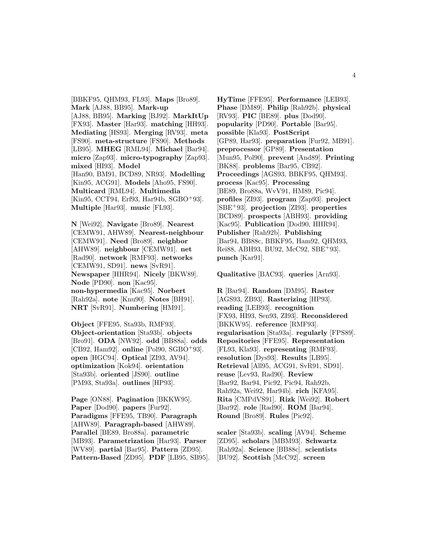[BBKF95, QHM93, FL93]. **Maps** [Bro89]. **Mark** [AJ88, BB95]. **Mark-up** [AJ88, BB95]. **Marking** [BJ92]. **MarkItUp** [FX93]. **Master** [Har93]. **matching** [HH93]. **Mediating** [HS93]. **Merging** [RV93]. **meta** [FS90]. **meta-structure** [FS90]. **Methods** [LB95]. **MHEG** [RML94]. **Michael** [Bar94]. **micro** [Zap93]. **micro-typography** [Zap93]. **mixed** [HI93]. **Model** [Han90, BM91, BCD89, NR93]. **Modelling** [Kin95, ACG91]. **Models** [Aho95, FS90]. **Multicard** [RML94]. **Multimedia** [Kin95, CCT94, Erf93, Har94b, SGBO<sup>+</sup>93]. **Multiple** [Har93]. **music** [FL93].

**N** [Wei92]. **Navigate** [Bro89]. **Nearest** [CEMW91, AHW89]. **Nearest-neighbour** [CEMW91]. **Need** [Bro89]. **neighbor** [AHW89]. **neighbour** [CEMW91]. **net** [Rad90]. **network** [RMF93]. **networks** [CEMW91, SD91]. **news** [SvR91]. **Newspaper** [HHR94]. **Nicely** [BKW89]. **Node** [PD90]. **non** [Kac95]. **non-hypermedia** [Kac95]. **Norbert** [Rah92a]. **note** [Knu90]. **Notes** [BH91]. **NRT** [SvR91]. **Numbering** [HM91].

**Object** [FFE95, Sta93b, RMF93]. **Object-orientation** [Sta93b]. **objects** [Bro91]. **ODA** [NW92]. **odd** [BB88a]. **odds** [CB92, Ham92]. **online** [Pol90, SGBO<sup>+</sup>93]. **open** [HGC94]. **Optical** [ZI93, AV94]. **optimization** [Kok94]. **orientation** [Sta93b]. **oriented** [JS90]. **outline** [PM93, Sta93a]. **outlines** [HP93].

**Page** [ON88]. **Pagination** [BKKW95]. **Paper** [Dod90]. **papers** [Fur92]. **Paradigms** [FFE95, TB90]. **Paragraph** [AHW89]. **Paragraph-based** [AHW89]. **Parallel** [BE89, Bro88a]. **parametric** [MB93]. **Parametrization** [Har93]. **Parser** [WV89]. **partial** [Bar95]. **Pattern** [ZD95]. **Pattern-Based** [ZD95]. **PDF** [LB95, SB95].

**HyTime** [FFE95]. **Performance** [LEB93]. **Phase** [DM89]. **Philip** [Rah92b]. **physical** [RV93]. **PIC** [BE89]. **plus** [Dod90]. **popularity** [PD90]. **Portable** [Bar95]. **possible** [Kla93]. **PostScript** [GP89, Har93]. **preparation** [Fur92, MB91]. **preprocessor** [GP89]. **Presentation** [Mun95, Pol90]. **prevent** [And89]. **Printing** [BK88]. **problems** [Bar95, CB92]. **Proceedings** [AGS93, BBKF95, QHM93]. **process** [Kac95]. **Processing** [BE89, Bro88a, WvV91, HM89, Pic94]. **profiles** [ZI93]. **program** [Zap93]. **project** [SBE<sup>+</sup>93]. **projection** [ZI93]. **properties** [BCD89]. **prospects** [ABH93]. **providing** [Kac95]. **Publication** [Dod90, HHR94]. **Publisher** [Rah92b]. **Publishing** [Bar94, BB88c, BBKF95, Ham92, QHM93, Rei88, ABH93, BU92, McC92, SBE<sup>+</sup>93]. **punch** [Kar91].

**Qualitative** [BAC93]. **queries** [Arn93].

**R** [Bar94]. **Random** [DM95]. **Raster** [AGS93, ZB93]. **Rasterizing** [HP93]. **reading** [LEB93]. **recognition** [FX93, HI93, Sen93, ZI93]. **Reconsidered** [BKKW95]. **reference** [RMF93]. **regularisation** [Sta93a]. **regularly** [FPS89]. **Repositories** [FFE95]. **Representation** [FL93, Kla93]. **representing** [RMF93]. **resolution** [Dys93]. **Results** [LB95]. **Retrieval** [All95, ACG91, SvR91, SD91]. **reuse** [Lev93, Rad90]. **Review** [Bar92, Bar94, Pic92, Pic94, Rah92b, Rah92a, Wei92, Har94b]. **rich** [KFA95]. **Rita** [CMPdVS91]. **Rizk** [Wei92]. **Robert** [Bar92]. **role** [Rad90]. **ROM** [Bar94]. **Round** [Bro89]. **Rules** [Pic92].

**scaler** [Sta93b]. **scaling** [AV94]. **Scheme** [ZD95]. **scholars** [MBM93]. **Schwartz** [Rah92a]. **Science** [BB88c]. **scientists** [BU92]. **Scottish** [McC92]. **screen**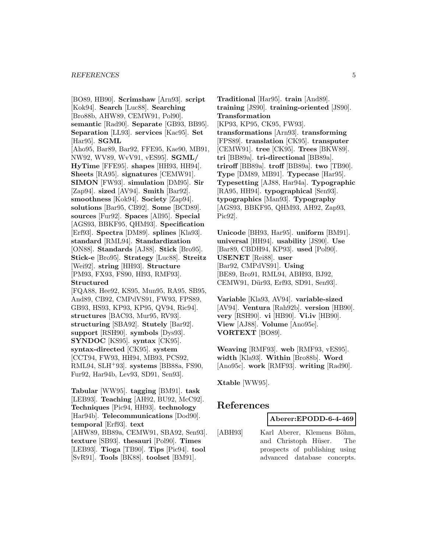[BO89, HB90]. **Scrimshaw** [Arn93]. **script** [Kok94]. **Search** [Luc88]. **Searching** [Bro88b, AHW89, CEMW91, Pol90]. **semantic** [Rad90]. **Separate** [GB93, BB95]. **Separation** [LL93]. **services** [Kac95]. **Set** [Har95]. **SGML** [Aho95, Bar89, Bar92, FFE95, Kae90, MB91, NW92, WV89, WvV91, vES95]. **SGML/ HyTime** [FFE95]. **shapes** [HH93, HH94]. **Sheets** [RA95]. **signatures** [CEMW91]. **SIMON** [FW93]. **simulation** [DM95]. **Sir** [Zap94]. **sized** [AV94]. **Smith** [Bar92]. **smoothness** [Kok94]. **Society** [Zap94]. **solutions** [Bar95, CB92]. **Some** [BCD89]. **sources** [Fur92]. **Spaces** [All95]. **Special** [AGS93, BBKF95, QHM93]. **Specification** [Erf93]. **Spectra** [DM89]. **splines** [Kla93]. **standard** [RML94]. **Standardization** [ON88]. **Standards** [AJ88]. **Stick** [Bro95]. **Stick-e** [Bro95]. **Strategy** [Luc88]. **Streitz** [Wei92]. **string** [HH93]. **Structure** [PM93, FX93, FS90, HI93, RMF93]. **Structured** [FQA88, Hee92, KS95, Mun95, RA95, SB95, And89, CB92, CMPdVS91, FW93, FPS89, GB93, HS93, KP93, KP95, QV94, Ric94]. **structures** [BAC93, Mur95, RV93].

**structuring** [SBA92]. **Stutely** [Bar92]. **support** [RSH90]. **symbols** [Dys93]. **SYNDOC** [KS95]. **syntax** [CK95]. **syntax-directed** [CK95]. **system** [CCT94, FW93, HH94, MB93, PCS92, RML94, SLH<sup>+</sup>93]. **systems** [BB88a, FS90, Fur92, Har94b, Lev93, SD91, Sen93].

**Tabular** [WW95]. **tagging** [BM91]. **task** [LEB93]. **Teaching** [AH92, BU92, McC92]. **Techniques** [Pic94, HH93]. **technology** [Har94b]. **Telecommunications** [Dod90]. **temporal** [Erf93]. **text** [AHW89, BB89a, CEMW91, SBA92, Sen93]. **texture** [SB93]. **thesauri** [Pol90]. **Times** [LEB93]. **Tioga** [TB90]. **Tips** [Pic94]. **tool** [SvR91]. **Tools** [BK88]. **toolset** [BM91].

**Traditional** [Har95]. **train** [And89]. **training** [JS90]. **training-oriented** [JS90]. **Transformation** [KP93, KP95, CK95, FW93]. **transformations** [Arn93]. **transforming** [FPS89]. **translation** [CK95]. **transputer** [CEMW91]. **tree** [CK95]. **Trees** [BKW89]. **tri** [BB89a]. **tri-directional** [BB89a]. **triroff** [BB89a]. **troff** [BB89a]. **two** [TB90]. **Type** [DM89, MB91]. **Typecase** [Har95]. **Typesetting** [AJ88, Har94a]. **Typographic** [RA95, HH94]. **typographical** [Sen93]. **typographics** [Man93]. **Typography** [AGS93, BBKF95, QHM93, AH92, Zap93, Pic92].

**Unicode** [BH93, Har95]. **uniform** [BM91]. **universal** [HH94]. **usability** [JS90]. **Use** [Bar89, CBDH94, KP93]. **used** [Pol90]. **USENET** [Rei88]. **user** [Bar92, CMPdVS91]. **Using** [BE89, Bro91, RML94, ABH93, BJ92, CEMW91, Dür93, Erf93, SD91, Sen93].

**Variable** [Kla93, AV94]. **variable-sized** [AV94]. **Ventura** [Rah92b]. **version** [HB90]. **very** [RSH90]. **vi** [HB90]. **Vi.iv** [HB90]. **View** [AJ88]. **Volume** [Ano95e]. **VORTEXT** [BO89].

**Weaving** [RMF93]. **web** [RMF93, vES95]. **width** [Kla93]. **Within** [Bro88b]. **Word** [Ano95c]. **work** [RMF93]. **writing** [Rad90].

**Xtable** [WW95].

# **References**

**Aberer:EPODD-6-4-469**

[ABH93] Karl Aberer, Klemens Böhm, and Christoph Hüser. The prospects of publishing using advanced database concepts.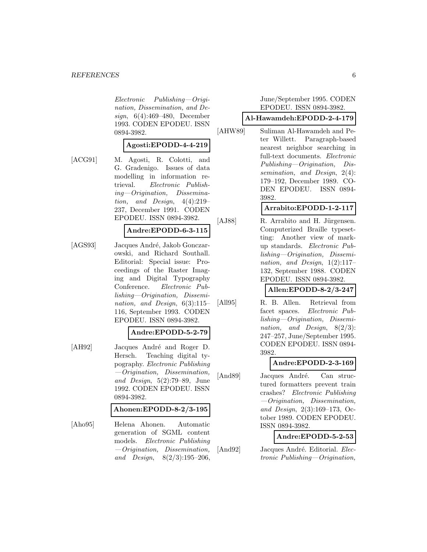Electronic Publishing—Origination, Dissemination, and Design, 6(4):469–480, December 1993. CODEN EPODEU. ISSN 0894-3982.

#### **Agosti:EPODD-4-4-219**

[ACG91] M. Agosti, R. Colotti, and G. Gradenigo. Issues of data modelling in information retrieval. Electronic Publishing—Origination, Dissemination, and Design, 4(4):219– 237, December 1991. CODEN EPODEU. ISSN 0894-3982.

# **Andre:EPODD-6-3-115**

[AGS93] Jacques André, Jakob Gonczarowski, and Richard Southall. Editorial: Special issue: Proceedings of the Raster Imaging and Digital Typography Conference. Electronic Publishing—Origination, Dissemination, and Design, 6(3):115– 116, September 1993. CODEN EPODEU. ISSN 0894-3982.

#### **Andre:EPODD-5-2-79**

[AH92] Jacques André and Roger D. Hersch. Teaching digital typography. Electronic Publishing —Origination, Dissemination, and Design, 5(2):79–89, June 1992. CODEN EPODEU. ISSN 0894-3982.

#### **Ahonen:EPODD-8-2/3-195**

[Aho95] Helena Ahonen. Automatic generation of SGML content models. Electronic Publishing —Origination, Dissemination, and Design, 8(2/3):195–206, June/September 1995. CODEN EPODEU. ISSN 0894-3982.

#### **Al-Hawamdeh:EPODD-2-4-179**

[AHW89] Suliman Al-Hawamdeh and Peter Willett. Paragraph-based nearest neighbor searching in full-text documents. Electronic Publishing—Origination, Dissemination, and Design, 2(4): 179–192, December 1989. CO-DEN EPODEU. ISSN 0894- 3982.

# **Arrabito:EPODD-1-2-117**

[AJ88] R. Arrabito and H. Jürgensen. Computerized Braille typesetting: Another view of markup standards. Electronic Publishing—Origination, Dissemination, and Design, 1(2):117– 132, September 1988. CODEN EPODEU. ISSN 0894-3982.

#### **Allen:EPODD-8-2/3-247**

[All95] R. B. Allen. Retrieval from facet spaces. Electronic Publishing—Origination, Dissemination, and Design, 8(2/3): 247–257, June/September 1995. CODEN EPODEU. ISSN 0894- 3982.

#### **Andre:EPODD-2-3-169**

[And89] Jacques André. Can structured formatters prevent train crashes? Electronic Publishing —Origination, Dissemination, and Design, 2(3):169–173, October 1989. CODEN EPODEU. ISSN 0894-3982.

#### **Andre:EPODD-5-2-53**

[And92] Jacques André. Editorial. Electronic Publishing—Origination,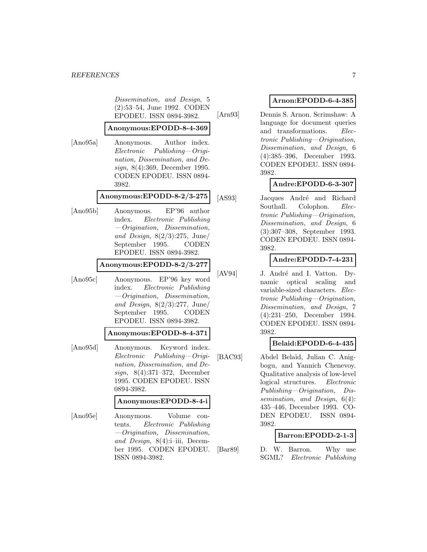Dissemination, and Design, 5 (2):53–54, June 1992. CODEN EPODEU. ISSN 0894-3982.

#### **Anonymous:EPODD-8-4-369**

[Ano95a] Anonymous. Author index. Electronic Publishing—Origination, Dissemination, and Design, 8(4):369, December 1995. CODEN EPODEU. ISSN 0894- 3982.

#### **Anonymous:EPODD-8-2/3-275**

[Ano95b] Anonymous. EP'96 author index. Electronic Publishing  $-Originalion,$  Dissemination, and Design,  $8(2/3):275$ , June/ September 1995. CODEN EPODEU. ISSN 0894-3982.

#### **Anonymous:EPODD-8-2/3-277**

[Ano95c] Anonymous. EP'96 key word index. Electronic Publishing —Origination, Dissemination, and Design, 8(2/3):277, June/ September 1995. CODEN EPODEU. ISSN 0894-3982.

# **Anonymous:EPODD-8-4-371**

[Ano95d] Anonymous. Keyword index. Electronic Publishing—Origination, Dissemination, and Design, 8(4):371–372, December 1995. CODEN EPODEU. ISSN 0894-3982.

#### **Anonymous:EPODD-8-4-i**

[Ano95e] Anonymous. Volume contents. Electronic Publishing —Origination, Dissemination, and Design, 8(4):i–iii, December 1995. CODEN EPODEU. ISSN 0894-3982.

### **Arnon:EPODD-6-4-385**

[Arn93] Dennis S. Arnon. Scrimshaw: A language for document queries and transformations. Electronic Publishing—Origination, Dissemination, and Design, 6 (4):385–396, December 1993. CODEN EPODEU. ISSN 0894- 3982.

# **Andre:EPODD-6-3-307**

[AS93] Jacques André and Richard Southall. Colophon. Electronic Publishing—Origination, Dissemination, and Design, 6 (3):307–308, September 1993. CODEN EPODEU. ISSN 0894- 3982.

#### **Andre:EPODD-7-4-231**

[AV94] J. André and I. Vatton. Dynamic optical scaling and variable-sized characters. Electronic Publishing—Origination, Dissemination, and Design, 7 (4):231–250, December 1994. CODEN EPODEU. ISSN 0894- 3982.

# **Belaid:EPODD-6-4-435**

[BAC93] Abdel Belaïd, Julian C. Anigbogu, and Yannich Chenevoy. Qualitative analysis of low-level logical structures. Electronic Publishing—Origination, Dissemination, and Design, 6(4): 435–446, December 1993. CO-DEN EPODEU. ISSN 0894- 3982.

#### **Barron:EPODD-2-1-3**

[Bar89] D. W. Barron. Why use SGML? Electronic Publishing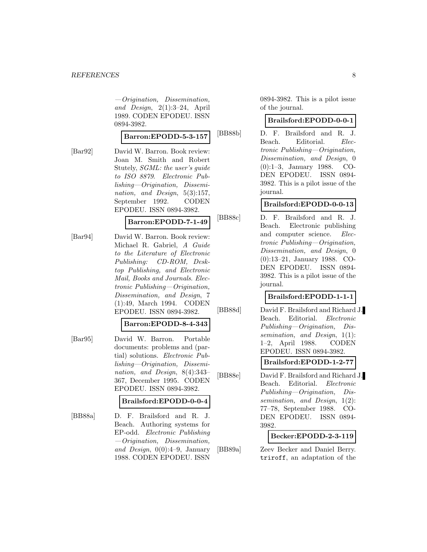—Origination, Dissemination, and Design, 2(1):3–24, April 1989. CODEN EPODEU. ISSN 0894-3982.

#### **Barron:EPODD-5-3-157**

[Bar92] David W. Barron. Book review: Joan M. Smith and Robert Stutely, SGML: the user's guide to ISO 8879. Electronic Publishing—Origination, Dissemination, and Design, 5(3):157, September 1992. CODEN EPODEU. ISSN 0894-3982.

#### **Barron:EPODD-7-1-49**

[Bar94] David W. Barron. Book review: Michael R. Gabriel, A Guide to the Literature of Electronic Publishing: CD-ROM, Desktop Publishing, and Electronic Mail, Books and Journals. Electronic Publishing—Origination, Dissemination, and Design, 7 (1):49, March 1994. CODEN EPODEU. ISSN 0894-3982.

#### **Barron:EPODD-8-4-343**

[Bar95] David W. Barron. Portable documents: problems and (partial) solutions. Electronic Publishing—Origination, Dissemination, and Design, 8(4):343– 367, December 1995. CODEN EPODEU. ISSN 0894-3982.

# **Brailsford:EPODD-0-0-4**

[BB88a] D. F. Brailsford and R. J. Beach. Authoring systems for EP-odd. Electronic Publishing —Origination, Dissemination, and Design,  $0(0):4-9$ , January 1988. CODEN EPODEU. ISSN

0894-3982. This is a pilot issue of the journal.

#### **Brailsford:EPODD-0-0-1**

[BB88b] D. F. Brailsford and R. J. Beach. Editorial. Electronic Publishing—Origination, Dissemination, and Design, 0 (0):1–3, January 1988. CO-DEN EPODEU. ISSN 0894- 3982. This is a pilot issue of the journal.

# **Brailsford:EPODD-0-0-13**

[BB88c] D. F. Brailsford and R. J. Beach. Electronic publishing and computer science. Electronic Publishing—Origination, Dissemination, and Design, 0 (0):13–21, January 1988. CO-DEN EPODEU. ISSN 0894- 3982. This is a pilot issue of the journal.

# **Brailsford:EPODD-1-1-1**

[BB88d] David F. Brailsford and Richard J. Beach. Editorial. Electronic Publishing—Origination, Dissemination, and Design, 1(1): 1–2, April 1988. CODEN EPODEU. ISSN 0894-3982.

**Brailsford:EPODD-1-2-77**

[BB88e] David F. Brailsford and Richard J. Beach. Editorial. Electronic Publishing—Origination, Dissemination, and Design,  $1(2)$ : 77–78, September 1988. CO-DEN EPODEU. ISSN 0894- 3982.

#### **Becker:EPODD-2-3-119**

[BB89a] Zeev Becker and Daniel Berry. triroff, an adaptation of the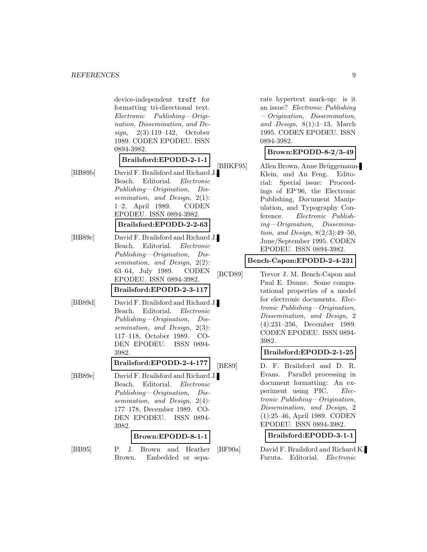device-independent troff for formatting tri-directional text. Electronic Publishing—Origination, Dissemination, and Design, 2(3):119–142, October 1989. CODEN EPODEU. ISSN 0894-3982.

**Brailsford:EPODD-2-1-1** [BB89b] David F. Brailsford and Richard J. Beach. Editorial. Electronic Publishing—Origination, Dissemination, and Design, 2(1): 1–2, April 1989. CODEN EPODEU. ISSN 0894-3982.

#### **Brailsford:EPODD-2-2-63**

[BB89c] David F. Brailsford and Richard J. Beach. Editorial. Electronic Publishing—Origination, Dissemination, and Design, 2(2): 63–64, July 1989. CODEN EPODEU. ISSN 0894-3982.

#### **Brailsford:EPODD-2-3-117**

[BB89d] David F. Brailsford and Richard J. Beach. Editorial. Electronic Publishing—Origination, Dissemination, and Design, 2(3): 117–118, October 1989. CO-DEN EPODEU. ISSN 0894- 3982.

# **Brailsford:EPODD-2-4-177**

[BB89e] David F. Brailsford and Richard J. Beach. Editorial. Electronic Publishing—Origination, Dissemination, and Design, 2(4): 177–178, December 1989. CO-DEN EPODEU. ISSN 0894- 3982.

#### **Brown:EPODD-8-1-1**

[BB95] P. J. Brown and Heather Brown. Embedded or separate hypertext mark-up: is it an issue? Electronic Publishing —Origination, Dissemination, and Design, 8(1):1–13, March 1995. CODEN EPODEU. ISSN 0894-3982.

#### **Brown:EPODD-8-2/3-49**

[BBKF95] Allen Brown, Anne Brüggemann-Klein, and An Feng. Editorial: Special issue: Proceedings of EP'96, the Electronic Publishing, Document Manipulation, and Typography Conference. Electronic Publishing—Origination, Dissemination, and Design,  $8(2/3):49-50$ , June/September 1995. CODEN EPODEU. ISSN 0894-3982.

#### **Bench-Capon:EPODD-2-4-231**

[BCD89] Trevor J. M. Bench-Capon and Paul E. Dunne. Some computational properties of a model for electronic documents. Electronic Publishing—Origination, Dissemination, and Design, 2 (4):231–256, December 1989. CODEN EPODEU. ISSN 0894- 3982.

### **Brailsford:EPODD-2-1-25**

[BE89] D. F. Brailsford and D. R. Evans. Parallel processing in document formatting: An experiment using PIC. Electronic Publishing—Origination, Dissemination, and Design, 2 (1):25–46, April 1989. CODEN EPODEU. ISSN 0894-3982.

**Brailsford:EPODD-3-1-1**

[BF90a] David F. Brailsford and Richard K. Furuta. Editorial. Electronic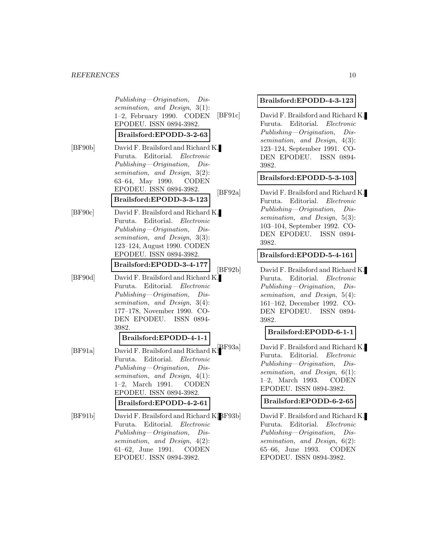#### *REFERENCES* 10

|         | $Published—Originalion,$ Dis-<br>$semination, and Design, 3(1)$ :<br>1-2, February 1990. CODEN<br>EPODEU. ISSN 0894-3982.<br>Brailsford:EPODD-3-2-63                                                    | [BF91] |
|---------|---------------------------------------------------------------------------------------------------------------------------------------------------------------------------------------------------------|--------|
|         |                                                                                                                                                                                                         |        |
| [BF90b] | David F. Brailsford and Richard K.<br>Furuta. Editorial. <i>Electronic</i><br>Publishing-Origination, Dis-<br>semination, and Design, 3(2):<br>63-64, May 1990. CODEN<br>EPODEU. ISSN 0894-3982.        | [BF92] |
|         | Brailsford:EPODD-3-3-123                                                                                                                                                                                |        |
| [BF90c] | David F. Brailsford and Richard K.<br>Furuta. Editorial. Electronic<br>Published—Originalion,<br>$Dis-$<br>semination, and Design, 3(3):<br>123-124, August 1990. CODEN<br>EPODEU. ISSN 0894-3982.      |        |
|         | Brailsford:EPODD-3-4-177                                                                                                                                                                                |        |
| [BF90d] | David F. Brailsford and Richard K.<br>Furuta. Editorial. Electronic<br>$Published—Originalion,$ Dis-<br>semination, and Design, 3(4):<br>177-178, November 1990. CO-<br>DEN EPODEU. ISSN 0894-<br>3982. | BF92   |
|         | Brailsford:EPODD-4-1-1                                                                                                                                                                                  |        |
| [BF91a] | David F. Brailsford and Richard K!<br>Furuta. Editorial. Electronic<br>$Published—Originalion,$ Dis-<br>semination, and Design, 4(1):<br>1-2, March 1991.<br>CODEN<br>EPODEU. ISSN 0894-3982.           | BF93   |
|         | Brailsford:EPODD-4-2-61                                                                                                                                                                                 |        |
| [BF91b] | David F. Brailsford and Richard K. BF93<br>Furuta. Editorial. Electronic<br>$Published—Originalion,$ Dis-<br>semination, and Design, 4(2):<br>61-62, June 1991. CODEN<br>EPODEU. ISSN 0894-3982.        |        |

# **Brailsford:EPODD-4-3-123**

 $[c]$  David F. Brailsford and Richard K. Furuta. Editorial. Electronic Publishing—Origination, Dissemination, and Design, 4(3): 123–124, September 1991. CO-DEN EPODEU. ISSN 0894- 3982.

#### **Brailsford:EPODD-5-3-103**

Pallace David F. Brailsford and Richard K. Furuta. Editorial. Electronic Publishing—Origination, Dissemination, and Design, 5(3): 103–104, September 1992. CO-DEN EPODEU. ISSN 0894- 3982.

# **Brailsford:EPODD-5-4-161**

 $[2b]$  David F. Brailsford and Richard K. Furuta. Editorial. Electronic Publishing—Origination, Dissemination, and Design, 5(4): 161–162, December 1992. CO-DEN EPODEU. ISSN 0894- 3982.

# **Brailsford:EPODD-6-1-1**

Ba] David F. Brailsford and Richard K. Furuta. Editorial. Electronic Publishing—Origination, Dissemination, and Design,  $6(1)$ : 1–2, March 1993. CODEN EPODEU. ISSN 0894-3982.

#### **Brailsford:EPODD-6-2-65**

[Bb] David F. Brailsford and Richard K. Furuta. Editorial. Electronic Publishing—Origination, Dissemination, and Design,  $6(2)$ : 65–66, June 1993. CODEN EPODEU. ISSN 0894-3982.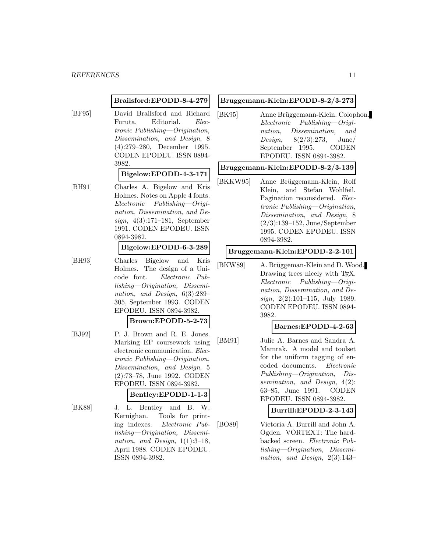#### **Brailsford:EPODD-8-4-279**

[BF95] David Brailsford and Richard Furuta. Editorial. Electronic Publishing—Origination, Dissemination, and Design, 8 (4):279–280, December 1995. CODEN EPODEU. ISSN 0894- 3982.

#### **Bigelow:EPODD-4-3-171**

[BH91] Charles A. Bigelow and Kris Holmes. Notes on Apple 4 fonts. Electronic Publishing—Origination, Dissemination, and Design, 4(3):171–181, September 1991. CODEN EPODEU. ISSN 0894-3982.

### **Bigelow:EPODD-6-3-289**

[BH93] Charles Bigelow and Kris Holmes. The design of a Unicode font. Electronic Publishing—Origination, Dissemination, and Design, 6(3):289– 305, September 1993. CODEN EPODEU. ISSN 0894-3982.

#### **Brown:EPODD-5-2-73**

[BJ92] P. J. Brown and R. E. Jones. Marking EP coursework using electronic communication. Electronic Publishing—Origination, Dissemination, and Design, 5 (2):73–78, June 1992. CODEN EPODEU. ISSN 0894-3982.

#### **Bentley:EPODD-1-1-3**

[BK88] J. L. Bentley and B. W. Kernighan. Tools for printing indexes. Electronic Publishing—Origination, Dissemination, and Design, 1(1):3–18, April 1988. CODEN EPODEU. ISSN 0894-3982.

#### **Bruggemann-Klein:EPODD-8-2/3-273**

[BK95] Anne Brüggemann-Klein. Colophon. Electronic Publishing—Origination, Dissemination, and *Design,*  $8(2/3):273$ , June/ September 1995. CODEN EPODEU. ISSN 0894-3982.

**Bruggemann-Klein:EPODD-8-2/3-139**

[BKKW95] Anne Brüggemann-Klein, Rolf Klein, and Stefan Wohlfeil. Pagination reconsidered. Electronic Publishing—Origination, Dissemination, and Design, 8 (2/3):139–152, June/September 1995. CODEN EPODEU. ISSN 0894-3982.

#### **Bruggemann-Klein:EPODD-2-2-101**

[BKW89] A. Brüggeman-Klein and D. Wood. Drawing trees nicely with T<sub>E</sub>X. Electronic Publishing—Origination, Dissemination, and Design, 2(2):101-115, July 1989. CODEN EPODEU. ISSN 0894- 3982.

#### **Barnes:EPODD-4-2-63**

[BM91] Julie A. Barnes and Sandra A. Mamrak. A model and toolset for the uniform tagging of encoded documents. Electronic Publishing—Origination, Dissemination, and Design, 4(2): 63–85, June 1991. CODEN EPODEU. ISSN 0894-3982.

#### **Burrill:EPODD-2-3-143**

[BO89] Victoria A. Burrill and John A. Ogden. VORTEXT: The hardbacked screen. Electronic Publishing—Origination, Dissemination, and Design, 2(3):143–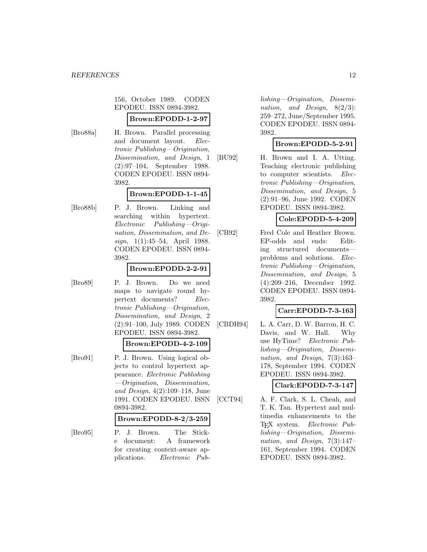156, October 1989. CODEN EPODEU. ISSN 0894-3982.

#### **Brown:EPODD-1-2-97**

[Bro88a] H. Brown. Parallel processing and document layout. Electronic Publishing—Origination, Dissemination, and Design, 1 (2):97–104, September 1988. CODEN EPODEU. ISSN 0894- 3982.

#### **Brown:EPODD-1-1-45**

[Bro88b] P. J. Brown. Linking and searching within hypertext. Electronic Publishing—Origination, Dissemination, and Design, 1(1):45–54, April 1988. CODEN EPODEU. ISSN 0894- 3982.

#### **Brown:EPODD-2-2-91**

[Bro89] P. J. Brown. Do we need maps to navigate round hypertext documents? Electronic Publishing—Origination, Dissemination, and Design, 2 (2):91–100, July 1989. CODEN EPODEU. ISSN 0894-3982.

# **Brown:EPODD-4-2-109**

[Bro91] P. J. Brown. Using logical objects to control hypertext appearance. Electronic Publishing —Origination, Dissemination, and Design, 4(2):109–118, June 1991. CODEN EPODEU. ISSN 0894-3982.

#### **Brown:EPODD-8-2/3-259**

[Bro95] P. J. Brown. The Sticke document: A framework for creating context-aware applications. Electronic Publishing—Origination, Dissemination, and Design, 8(2/3): 259–272, June/September 1995. CODEN EPODEU. ISSN 0894- 3982.

# **Brown:EPODD-5-2-91**

[BU92] H. Brown and I. A. Utting. Teaching electronic publishing to computer scientists. Electronic Publishing—Origination, Dissemination, and Design, 5 (2):91–96, June 1992. CODEN EPODEU. ISSN 0894-3982.

# **Cole:EPODD-5-4-209**

[CB92] Fred Cole and Heather Brown. EP-odds and ends: Editing structured documents problems and solutions. Electronic Publishing—Origination, Dissemination, and Design, 5 (4):209–216, December 1992. CODEN EPODEU. ISSN 0894- 3982.

# **Carr:EPODD-7-3-163**

[CBDH94] L. A. Carr, D. W. Barron, H. C. Davis, and W. Hall. Why use HyTime? Electronic Publishing—Origination, Dissemination, and Design, 7(3):163– 178, September 1994. CODEN EPODEU. ISSN 0894-3982.

# **Clark:EPODD-7-3-147**

[CCT94] A. F. Clark, S. L. Cheah, and T. K. Tan. Hypertext and multimedia enhancements to the TEX system. Electronic Publishing—Origination, Dissemination, and Design, 7(3):147– 161, September 1994. CODEN EPODEU. ISSN 0894-3982.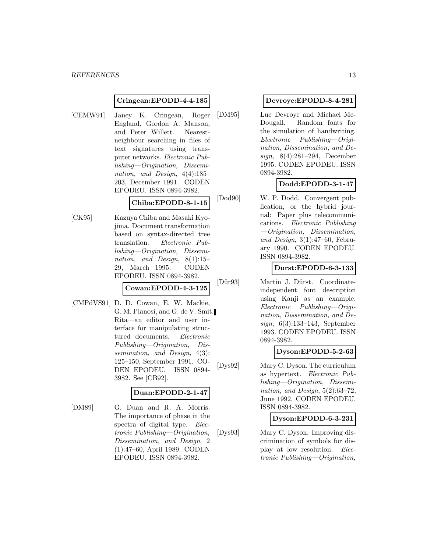#### **Cringean:EPODD-4-4-185**

[CEMW91] Janey K. Cringean, Roger England, Gordon A. Manson, and Peter Willett. Nearestneighbour searching in files of text signatures using transputer networks. Electronic Publishing—Origination, Dissemination, and Design, 4(4):185– 203, December 1991. CODEN EPODEU. ISSN 0894-3982.

#### **Chiba:EPODD-8-1-15**

[CK95] Kazuya Chiba and Masaki Kyojima. Document transformation based on syntax-directed tree translation. Electronic Publishing—Origination, Dissemination, and Design, 8(1):15– 29, March 1995. CODEN EPODEU. ISSN 0894-3982.

#### **Cowan:EPODD-4-3-125**

[CMPdVS91] D. D. Cowan, E. W. Mackie, G. M. Pianosi, and G. de V. Smit. Rita—an editor and user interface for manipulating structured documents. Electronic Publishing—Origination, Dissemination, and Design, 4(3): 125–150, September 1991. CO-DEN EPODEU. ISSN 0894- 3982. See [CB92].

#### **Duan:EPODD-2-1-47**

[DM89] G. Duan and R. A. Morris. The importance of phase in the spectra of digital type. Electronic Publishing—Origination, Dissemination, and Design, 2 (1):47–60, April 1989. CODEN EPODEU. ISSN 0894-3982.

#### **Devroye:EPODD-8-4-281**

[DM95] Luc Devroye and Michael Mc-Dougall. Random fonts for the simulation of handwriting. Electronic Publishing—Origination, Dissemination, and Design, 8(4):281–294, December 1995. CODEN EPODEU. ISSN 0894-3982.

# **Dodd:EPODD-3-1-47**

[Dod90] W. P. Dodd. Convergent publication, or the hybrid journal: Paper plus telecommunications. Electronic Publishing —Origination, Dissemination, and Design, 3(1):47–60, February 1990. CODEN EPODEU. ISSN 0894-3982.

# **Durst:EPODD-6-3-133**

[Dür93] Martin J. Dürst. Coordinateindependent font description using Kanji as an example. Electronic Publishing—Origination, Dissemination, and Design, 6(3):133–143, September 1993. CODEN EPODEU. ISSN 0894-3982.

#### **Dyson:EPODD-5-2-63**

[Dys92] Mary C. Dyson. The curriculum as hypertext. Electronic Publishing—Origination, Dissemination, and Design, 5(2):63–72, June 1992. CODEN EPODEU. ISSN 0894-3982.

#### **Dyson:EPODD-6-3-231**

[Dys93] Mary C. Dyson. Improving discrimination of symbols for display at low resolution. Electronic Publishing—Origination,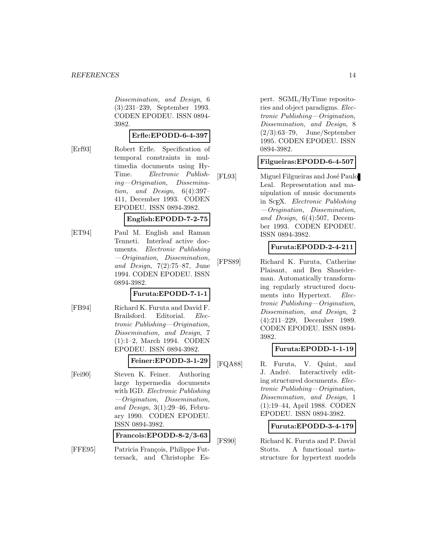Dissemination, and Design, 6 (3):231–239, September 1993. CODEN EPODEU. ISSN 0894- 3982.

#### **Erfle:EPODD-6-4-397**

[Erf93] Robert Erfle. Specification of temporal constraints in multimedia documents using Hy-Time. Electronic Publishing—Origination, Dissemination, and Design,  $6(4):397-$ 411, December 1993. CODEN EPODEU. ISSN 0894-3982.

#### **English:EPODD-7-2-75**

[ET94] Paul M. English and Raman Tenneti. Interleaf active documents. Electronic Publishing —Origination, Dissemination, and Design, 7(2):75–87, June 1994. CODEN EPODEU. ISSN 0894-3982.

#### **Furuta:EPODD-7-1-1**

[FB94] Richard K. Furuta and David F. Brailsford. Editorial. Electronic Publishing—Origination, Dissemination, and Design, 7 (1):1–2, March 1994. CODEN EPODEU. ISSN 0894-3982.

# **Feiner:EPODD-3-1-29**

[Fei90] Steven K. Feiner. Authoring large hypermedia documents with IGD. Electronic Publishing —Origination, Dissemination, and Design, 3(1):29–46, February 1990. CODEN EPODEU. ISSN 0894-3982.

**Francois:EPODD-8-2/3-63**

[FFE95] Patricia François, Philippe Futtersack, and Christophe Es-

pert. SGML/HyTime repositories and object paradigms. Electronic Publishing—Origination, Dissemination, and Design, 8 (2/3):63–79, June/September 1995. CODEN EPODEU. ISSN 0894-3982.

#### **Filgueiras:EPODD-6-4-507**

[FL93] Miguel Filgueiras and José Paulo Leal. Representation and manipulation of music documents in ScEX. Electronic Publishing —Origination, Dissemination, and Design, 6(4):507, December 1993. CODEN EPODEU. ISSN 0894-3982.

#### **Furuta:EPODD-2-4-211**

[FPS89] Richard K. Furuta, Catherine Plaisant, and Ben Shneiderman. Automatically transforming regularly structured documents into Hypertext. Electronic Publishing—Origination, Dissemination, and Design, 2 (4):211–229, December 1989. CODEN EPODEU. ISSN 0894- 3982.

# **Furuta:EPODD-1-1-19**

[FQA88] R. Furuta, V. Quint, and J. André. Interactively editing structured documents. Electronic Publishing—Origination, Dissemination, and Design, 1 (1):19–44, April 1988. CODEN EPODEU. ISSN 0894-3982.

#### **Furuta:EPODD-3-4-179**

[FS90] Richard K. Furuta and P. David Stotts. A functional metastructure for hypertext models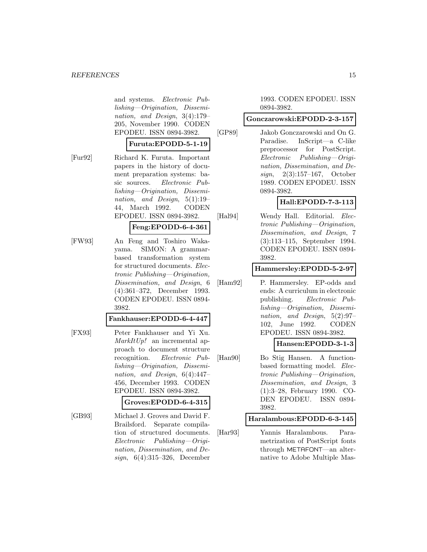#### *REFERENCES* 15

and systems. Electronic Publishing—Origination, Dissemination, and Design, 3(4):179– 205, November 1990. CODEN EPODEU. ISSN 0894-3982.

#### **Furuta:EPODD-5-1-19**

[Fur92] Richard K. Furuta. Important papers in the history of document preparation systems: basic sources. Electronic Publishing—Origination, Dissemination, and Design, 5(1):19– 44, March 1992. CODEN EPODEU. ISSN 0894-3982.

# **Feng:EPODD-6-4-361**

[FW93] An Feng and Toshiro Wakayama. SIMON: A grammarbased transformation system for structured documents. Electronic Publishing—Origination, Dissemination, and Design, 6 (4):361–372, December 1993. CODEN EPODEU. ISSN 0894- 3982.

#### **Fankhauser:EPODD-6-4-447**

[FX93] Peter Fankhauser and Yi Xu. MarkItUp! an incremental approach to document structure recognition. Electronic Publishing—Origination, Dissemination, and Design, 6(4):447– 456, December 1993. CODEN EPODEU. ISSN 0894-3982.

#### **Groves:EPODD-6-4-315**

[GB93] Michael J. Groves and David F. Brailsford. Separate compilation of structured documents. Electronic Publishing—Origination, Dissemination, and Design, 6(4):315–326, December

#### 1993. CODEN EPODEU. ISSN 0894-3982.

#### **Gonczarowski:EPODD-2-3-157**

[GP89] Jakob Gonczarowski and On G. Paradise. InScript—a C-like preprocessor for PostScript. Electronic Publishing—Origination, Dissemination, and Design, 2(3):157–167, October 1989. CODEN EPODEU. ISSN 0894-3982.

# **Hall:EPODD-7-3-113**

[Hal94] Wendy Hall. Editorial. Electronic Publishing—Origination, Dissemination, and Design, 7 (3):113–115, September 1994. CODEN EPODEU. ISSN 0894- 3982.

**Hammersley:EPODD-5-2-97**

[Ham92] P. Hammersley. EP-odds and ends: A curriculum in electronic publishing. Electronic Publishing—Origination, Dissemination, and Design, 5(2):97– 102, June 1992. CODEN EPODEU. ISSN 0894-3982.

**Hansen:EPODD-3-1-3**

[Han90] Bo Stig Hansen. A functionbased formatting model. Electronic Publishing—Origination, Dissemination, and Design, 3 (1):3–28, February 1990. CO-DEN EPODEU. ISSN 0894- 3982.

#### **Haralambous:EPODD-6-3-145**

[Har93] Yannis Haralambous. Parametrization of PostScript fonts through METAFONT—an alternative to Adobe Multiple Mas-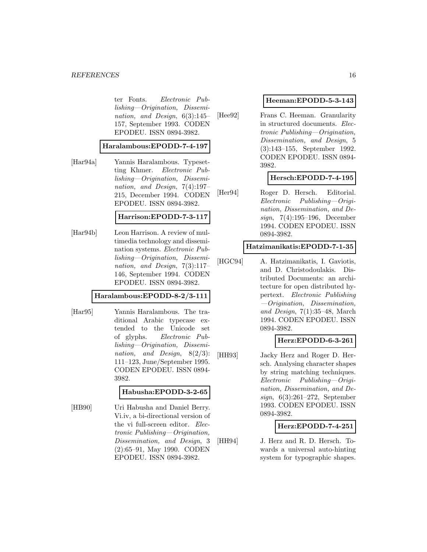#### *REFERENCES* 16

ter Fonts. Electronic Publishing—Origination, Dissemination, and Design, 6(3):145– 157, September 1993. CODEN EPODEU. ISSN 0894-3982.

### **Haralambous:EPODD-7-4-197**

[Har94a] Yannis Haralambous. Typesetting Khmer. Electronic Publishing—Origination, Dissemination, and Design, 7(4):197– 215, December 1994. CODEN EPODEU. ISSN 0894-3982.

#### **Harrison:EPODD-7-3-117**

[Har94b] Leon Harrison. A review of multimedia technology and dissemination systems. Electronic Publishing—Origination, Dissemination, and Design, 7(3):117– 146, September 1994. CODEN EPODEU. ISSN 0894-3982.

#### **Haralambous:EPODD-8-2/3-111**

[Har95] Yannis Haralambous. The traditional Arabic typecase extended to the Unicode set of glyphs. Electronic Publishing—Origination, Dissemination, and Design, 8(2/3): 111–123, June/September 1995. CODEN EPODEU. ISSN 0894- 3982.

#### **Habusha:EPODD-3-2-65**

[HB90] Uri Habusha and Daniel Berry. Vi.iv, a bi-directional version of the vi full-screen editor. Electronic Publishing—Origination, Dissemination, and Design, 3 (2):65–91, May 1990. CODEN EPODEU. ISSN 0894-3982.

#### **Heeman:EPODD-5-3-143**

[Hee92] Frans C. Heeman. Granularity in structured documents. Electronic Publishing—Origination, Dissemination, and Design, 5 (3):143–155, September 1992. CODEN EPODEU. ISSN 0894- 3982.

#### **Hersch:EPODD-7-4-195**

[Her94] Roger D. Hersch. Editorial. Electronic Publishing—Origination, Dissemination, and Design, 7(4):195–196, December 1994. CODEN EPODEU. ISSN 0894-3982.

#### **Hatzimanikatis:EPODD-7-1-35**

[HGC94] A. Hatzimanikatis, I. Gaviotis, and D. Christodoulakis. Distributed Documents: an architecture for open distributed hypertext. Electronic Publishing —Origination, Dissemination, and Design,  $7(1):35-48$ , March 1994. CODEN EPODEU. ISSN 0894-3982.

#### **Herz:EPODD-6-3-261**

[HH93] Jacky Herz and Roger D. Hersch. Analysing character shapes by string matching techniques. Electronic Publishing—Origination, Dissemination, and Design, 6(3):261–272, September 1993. CODEN EPODEU. ISSN 0894-3982.

#### **Herz:EPODD-7-4-251**

[HH94] J. Herz and R. D. Hersch. Towards a universal auto-hinting system for typographic shapes.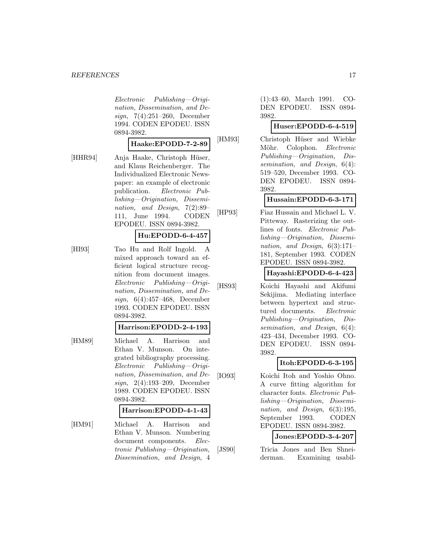Electronic Publishing—Origination, Dissemination, and Design, 7(4):251–260, December 1994. CODEN EPODEU. ISSN 0894-3982.

#### **Haake:EPODD-7-2-89**

[HHR94] Anja Haake, Christoph Hüser, and Klaus Reichenberger. The Individualized Electronic Newspaper: an example of electronic publication. Electronic Publishing—Origination, Dissemination, and Design, 7(2):89– 111, June 1994. CODEN EPODEU. ISSN 0894-3982.

#### **Hu:EPODD-6-4-457**

[HI93] Tao Hu and Rolf Ingold. A mixed approach toward an efficient logical structure recognition from document images. Electronic Publishing—Origination, Dissemination, and Design, 6(4):457–468, December 1993. CODEN EPODEU. ISSN 0894-3982.

#### **Harrison:EPODD-2-4-193**

[HM89] Michael A. Harrison and Ethan V. Munson. On integrated bibliography processing. Electronic Publishing—Origination, Dissemination, and Design, 2(4):193–209, December 1989. CODEN EPODEU. ISSN 0894-3982.

#### **Harrison:EPODD-4-1-43**

[HM91] Michael A. Harrison and Ethan V. Munson. Numbering document components. *Elec*tronic Publishing—Origination, Dissemination, and Design, 4

(1):43–60, March 1991. CO-DEN EPODEU. ISSN 0894- 3982.

# **Huser:EPODD-6-4-519**

[HM93] Christoph Hüser and Wiebke Möhr. Colophon. Electronic Publishing—Origination, Dissemination, and Design, 6(4): 519–520, December 1993. CO-DEN EPODEU. ISSN 0894- 3982.

# **Hussain:EPODD-6-3-171**

[HP93] Fiaz Hussain and Michael L. V. Pitteway. Rasterizing the outlines of fonts. Electronic Publishing—Origination, Dissemination, and Design, 6(3):171– 181, September 1993. CODEN EPODEU. ISSN 0894-3982.

**Hayashi:EPODD-6-4-423**

[HS93] Koichi Hayashi and Akifumi Sekijima. Mediating interface between hypertext and structured documents. Electronic Publishing—Origination, Dissemination, and Design,  $6(4)$ : 423–434, December 1993. CO-DEN EPODEU. ISSN 0894- 3982.

# **Itoh:EPODD-6-3-195**

[IO93] Koichi Itoh and Yoshio Ohno. A curve fitting algorithm for character fonts. Electronic Publishing—Origination, Dissemination, and Design, 6(3):195, September 1993. CODEN EPODEU. ISSN 0894-3982.

#### **Jones:EPODD-3-4-207**

[JS90] Tricia Jones and Ben Shneiderman. Examining usabil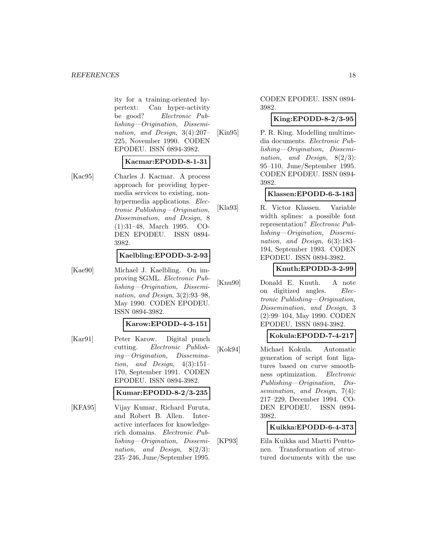ity for a training-oriented hypertext: Can hyper-activity be good? Electronic Publishing—Origination, Dissemination, and Design, 3(4):207– 225, November 1990. CODEN EPODEU. ISSN 0894-3982.

#### **Kacmar:EPODD-8-1-31**

[Kac95] Charles J. Kacmar. A process approach for providing hypermedia services to existing, nonhypermedia applications. *Elec*tronic Publishing—Origination, Dissemination, and Design, 8 (1):31–48, March 1995. CO-DEN EPODEU. ISSN 0894- 3982.

#### **Kaelbling:EPODD-3-2-93**

[Kae90] Michael J. Kaelbling. On improving SGML. Electronic Publishing—Origination, Dissemination, and Design, 3(2):93–98, May 1990. CODEN EPODEU. ISSN 0894-3982.

#### **Karow:EPODD-4-3-151**

[Kar91] Peter Karow. Digital punch cutting. Electronic Publishing—Origination, Dissemination, and Design,  $4(3):151-$ 170, September 1991. CODEN EPODEU. ISSN 0894-3982.

#### **Kumar:EPODD-8-2/3-235**

[KFA95] Vijay Kumar, Richard Furuta, and Robert B. Allen. Interactive interfaces for knowledgerich domains. Electronic Publishing—Origination, Dissemination, and Design,  $8(2/3)$ : 235–246, June/September 1995.

CODEN EPODEU. ISSN 0894- 3982.

### **King:EPODD-8-2/3-95**

[Kin95] P. R. King. Modelling multimedia documents. Electronic Publishing—Origination, Dissemination, and Design,  $8(2/3)$ : 95–110, June/September 1995. CODEN EPODEU. ISSN 0894- 3982.

#### **Klassen:EPODD-6-3-183**

[Kla93] R. Victor Klassen. Variable width splines: a possible font representation? Electronic Publishing—Origination, Dissemination, and Design, 6(3):183– 194, September 1993. CODEN EPODEU. ISSN 0894-3982.

#### **Knuth:EPODD-3-2-99**

[Knu90] Donald E. Knuth. A note on digitized angles. Electronic Publishing—Origination, Dissemination, and Design, 3 (2):99–104, May 1990. CODEN EPODEU. ISSN 0894-3982.

# **Kokula:EPODD-7-4-217**

[Kok94] Michael Kokula. Automatic generation of script font ligatures based on curve smoothness optimization. Electronic Publishing—Origination, Dissemination, and Design, 7(4): 217–229, December 1994. CO-DEN EPODEU. ISSN 0894- 3982.

#### **Kuikka:EPODD-6-4-373**

[KP93] Eila Kuikka and Martti Penttonen. Transformation of structured documents with the use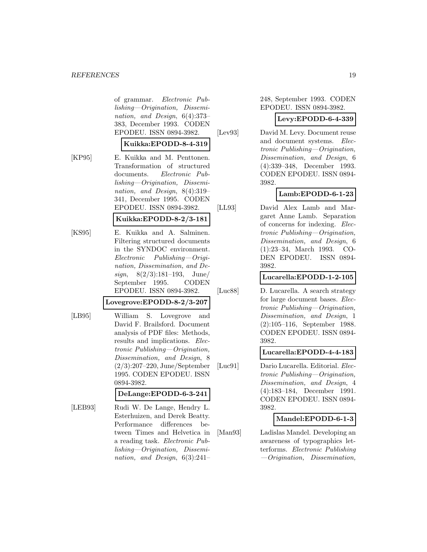#### *REFERENCES* 19

of grammar. Electronic Publishing—Origination, Dissemination, and Design, 6(4):373– 383, December 1993. CODEN EPODEU. ISSN 0894-3982.

#### **Kuikka:EPODD-8-4-319**

[KP95] E. Kuikka and M. Penttonen. Transformation of structured documents. Electronic Publishing—Origination, Dissemination, and Design, 8(4):319– 341, December 1995. CODEN EPODEU. ISSN 0894-3982.

#### **Kuikka:EPODD-8-2/3-181**

[KS95] E. Kuikka and A. Salminen. Filtering structured documents in the SYNDOC environment. Electronic Publishing—Origination, Dissemination, and Design,  $8(2/3):181-193$ , June/ September 1995. CODEN EPODEU. ISSN 0894-3982.

**Lovegrove:EPODD-8-2/3-207**

[LB95] William S. Lovegrove and David F. Brailsford. Document analysis of PDF files: Methods, results and implications. Electronic Publishing—Origination, Dissemination, and Design, 8 (2/3):207–220, June/September 1995. CODEN EPODEU. ISSN 0894-3982.

**DeLange:EPODD-6-3-241**

[LEB93] Rudi W. De Lange, Hendry L. Esterhuizen, and Derek Beatty. Performance differences between Times and Helvetica in a reading task. Electronic Publishing—Origination, Dissemination, and Design, 6(3):241–

248, September 1993. CODEN EPODEU. ISSN 0894-3982.

#### **Levy:EPODD-6-4-339**

[Lev93] David M. Levy. Document reuse and document systems. Electronic Publishing—Origination, Dissemination, and Design, 6 (4):339–348, December 1993. CODEN EPODEU. ISSN 0894- 3982.

# **Lamb:EPODD-6-1-23**

[LL93] David Alex Lamb and Margaret Anne Lamb. Separation of concerns for indexing. Electronic Publishing—Origination, Dissemination, and Design, 6 (1):23–34, March 1993. CO-DEN EPODEU. ISSN 0894- 3982.

# **Lucarella:EPODD-1-2-105**

[Luc88] D. Lucarella. A search strategy for large document bases. *Elec*tronic Publishing—Origination, Dissemination, and Design, 1 (2):105–116, September 1988. CODEN EPODEU. ISSN 0894- 3982.

**Lucarella:EPODD-4-4-183**

[Luc91] Dario Lucarella. Editorial. Electronic Publishing—Origination, Dissemination, and Design, 4 (4):183–184, December 1991. CODEN EPODEU. ISSN 0894- 3982.

#### **Mandel:EPODD-6-1-3**

[Man93] Ladislas Mandel. Developing an awareness of typographics letterforms. Electronic Publishing —Origination, Dissemination,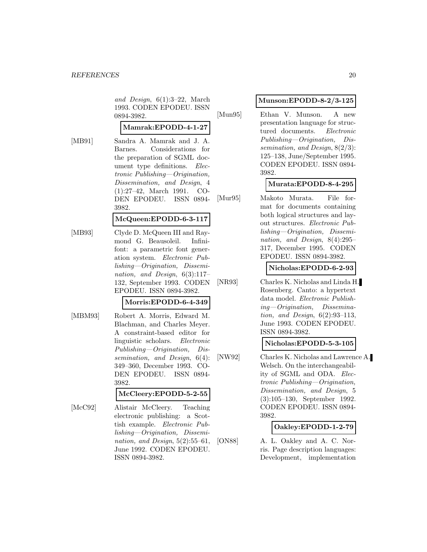and Design, 6(1):3–22, March 1993. CODEN EPODEU. ISSN 0894-3982.

### **Mamrak:EPODD-4-1-27**

[MB91] Sandra A. Mamrak and J. A. Barnes. Considerations for the preparation of SGML document type definitions. Electronic Publishing—Origination, Dissemination, and Design, 4 (1):27–42, March 1991. CO-DEN EPODEU. ISSN 0894- 3982.

# **McQueen:EPODD-6-3-117**

[MB93] Clyde D. McQueen III and Raymond G. Beausoleil. Infinifont: a parametric font generation system. Electronic Publishing—Origination, Dissemination, and Design, 6(3):117– 132, September 1993. CODEN EPODEU. ISSN 0894-3982.

# **Morris:EPODD-6-4-349**

[MBM93] Robert A. Morris, Edward M. Blachman, and Charles Meyer. A constraint-based editor for linguistic scholars. Electronic Publishing—Origination, Dissemination, and Design, 6(4): 349–360, December 1993. CO-DEN EPODEU. ISSN 0894- 3982.

**McCleery:EPODD-5-2-55**

[McC92] Alistair McCleery. Teaching electronic publishing: a Scottish example. Electronic Publishing—Origination, Dissemination, and Design, 5(2):55–61, June 1992. CODEN EPODEU. ISSN 0894-3982.

#### **Munson:EPODD-8-2/3-125**

[Mun95] Ethan V. Munson. A new presentation language for structured documents. Electronic Publishing—Origination, Dissemination, and Design, 8(2/3): 125–138, June/September 1995. CODEN EPODEU. ISSN 0894- 3982.

# **Murata:EPODD-8-4-295**

[Mur95] Makoto Murata. File format for documents containing both logical structures and layout structures. Electronic Publishing—Origination, Dissemination, and Design, 8(4):295– 317, December 1995. CODEN EPODEU. ISSN 0894-3982.

**Nicholas:EPODD-6-2-93**

[NR93] Charles K. Nicholas and Linda H. Rosenberg. Canto: a hypertext data model. Electronic Publishing—Origination, Dissemination, and Design, 6(2):93–113, June 1993. CODEN EPODEU. ISSN 0894-3982.

# **Nicholas:EPODD-5-3-105**

[NW92] Charles K. Nicholas and Lawrence A. Welsch. On the interchangeability of SGML and ODA. Electronic Publishing—Origination, Dissemination, and Design, 5 (3):105–130, September 1992. CODEN EPODEU. ISSN 0894- 3982.

#### **Oakley:EPODD-1-2-79**

[ON88] A. L. Oakley and A. C. Norris. Page description languages: Development, implementation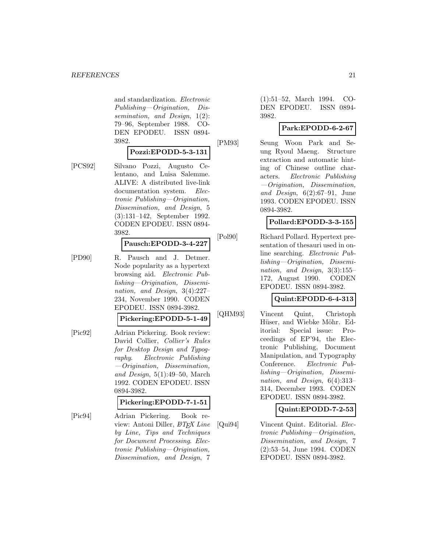and standardization. Electronic Publishing—Origination, Dissemination, and Design,  $1(2)$ : 79–96, September 1988. CO-DEN EPODEU. ISSN 0894- 3982.

#### **Pozzi:EPODD-5-3-131**

[PCS92] Silvano Pozzi, Augusto Celentano, and Luisa Salemme. ALIVE: A distributed live-link documentation system. Electronic Publishing—Origination, Dissemination, and Design, 5 (3):131–142, September 1992. CODEN EPODEU. ISSN 0894- 3982.

#### **Pausch:EPODD-3-4-227**

[PD90] R. Pausch and J. Detmer. Node popularity as a hypertext browsing aid. Electronic Publishing—Origination, Dissemination, and Design, 3(4):227– 234, November 1990. CODEN EPODEU. ISSN 0894-3982.

**Pickering:EPODD-5-1-49**

[Pic92] Adrian Pickering. Book review: David Collier, Collier's Rules for Desktop Design and Typography. Electronic Publishing —Origination, Dissemination, and Design, 5(1):49–50, March 1992. CODEN EPODEU. ISSN 0894-3982.

#### **Pickering:EPODD-7-1-51**

[Pic94] Adrian Pickering. Book review: Antoni Diller,  $BT_FX$  Line by Line, Tips and Techniques for Document Processing. Electronic Publishing—Origination, Dissemination, and Design, 7

(1):51–52, March 1994. CO-DEN EPODEU. ISSN 0894- 3982.

# **Park:EPODD-6-2-67**

[PM93] Seung Woon Park and Seung Ryoul Maeng. Structure extraction and automatic hinting of Chinese outline characters. Electronic Publishing —Origination, Dissemination, and Design,  $6(2):67-91$ , June 1993. CODEN EPODEU. ISSN 0894-3982.

### **Pollard:EPODD-3-3-155**

[Pol90] Richard Pollard. Hypertext presentation of thesauri used in online searching. Electronic Publishing—Origination, Dissemination, and Design, 3(3):155– 172, August 1990. CODEN EPODEU. ISSN 0894-3982.

# **Quint:EPODD-6-4-313**

[QHM93] Vincent Quint, Christoph Hüser, and Wiebke Möhr. Editorial: Special issue: Proceedings of EP'94, the Electronic Publishing, Document Manipulation, and Typography Conference. Electronic Publishing—Origination, Dissemination, and Design, 6(4):313– 314, December 1993. CODEN EPODEU. ISSN 0894-3982.

#### **Quint:EPODD-7-2-53**

[Qui94] Vincent Quint. Editorial. Electronic Publishing—Origination, Dissemination, and Design, 7 (2):53–54, June 1994. CODEN EPODEU. ISSN 0894-3982.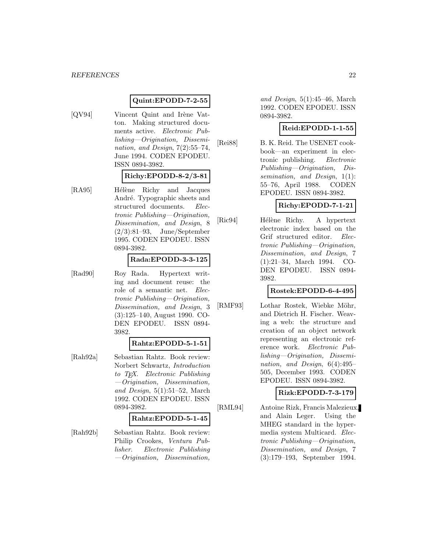# **Quint:EPODD-7-2-55**

[QV94] Vincent Quint and Irène Vatton. Making structured documents active. Electronic Publishing—Origination, Dissemination, and Design,  $7(2):55-74$ , June 1994. CODEN EPODEU. ISSN 0894-3982.

#### **Richy:EPODD-8-2/3-81**

[RA95] Hélène Richy and Jacques André. Typographic sheets and structured documents. Electronic Publishing—Origination, Dissemination, and Design, 8 (2/3):81–93, June/September 1995. CODEN EPODEU. ISSN 0894-3982.

#### **Rada:EPODD-3-3-125**

[Rad90] Roy Rada. Hypertext writing and document reuse: the role of a semantic net. Electronic Publishing—Origination, Dissemination, and Design, 3 (3):125–140, August 1990. CO-DEN EPODEU. ISSN 0894- 3982.

#### **Rahtz:EPODD-5-1-51**

[Rah92a] Sebastian Rahtz. Book review: Norbert Schwartz, Introduction to T<sub>F</sub>X. Electronic Publishing —Origination, Dissemination, and Design, 5(1):51–52, March 1992. CODEN EPODEU. ISSN 0894-3982.

#### **Rahtz:EPODD-5-1-45**

[Rah92b] Sebastian Rahtz. Book review: Philip Crookes, Ventura Publisher. Electronic Publishing —Origination, Dissemination,

and Design,  $5(1):45-46$ , March 1992. CODEN EPODEU. ISSN 0894-3982.

#### **Reid:EPODD-1-1-55**

[Rei88] B. K. Reid. The USENET cookbook—an experiment in electronic publishing. Electronic Publishing—Origination, Dissemination, and Design,  $1(1)$ : 55–76, April 1988. CODEN EPODEU. ISSN 0894-3982.

# **Richy:EPODD-7-1-21**

[Ric94] Hélène Richy. A hypertext electronic index based on the Grif structured editor. Electronic Publishing—Origination, Dissemination, and Design, 7 (1):21–34, March 1994. CO-DEN EPODEU. ISSN 0894- 3982.

### **Rostek:EPODD-6-4-495**

[RMF93] Lothar Rostek, Wiebke Möhr, and Dietrich H. Fischer. Weaving a web: the structure and creation of an object network representing an electronic reference work. Electronic Publishing—Origination, Dissemination, and Design, 6(4):495– 505, December 1993. CODEN EPODEU. ISSN 0894-3982.

# **Rizk:EPODD-7-3-179**

[RML94] Antoine Rizk, Francis Malezieux, and Alain Leger. Using the MHEG standard in the hypermedia system Multicard. Electronic Publishing—Origination, Dissemination, and Design, 7 (3):179–193, September 1994.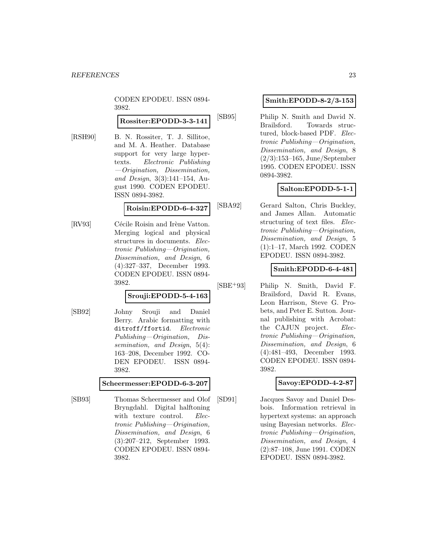CODEN EPODEU. ISSN 0894- 3982.

#### **Rossiter:EPODD-3-3-141**

[RSH90] B. N. Rossiter, T. J. Sillitoe, and M. A. Heather. Database support for very large hypertexts. Electronic Publishing —Origination, Dissemination, and Design, 3(3):141–154, August 1990. CODEN EPODEU. ISSN 0894-3982.

# **Roisin:EPODD-6-4-327**

[RV93] Cécile Roisin and Irène Vatton. Merging logical and physical structures in documents. Electronic Publishing—Origination, Dissemination, and Design, 6 (4):327–337, December 1993. CODEN EPODEU. ISSN 0894- 3982.

# **Srouji:EPODD-5-4-163**

[SB92] Johny Srouji and Daniel Berry. Arabic formatting with ditroff/ffortid. Electronic Publishing—Origination, Dissemination, and Design, 5(4): 163–208, December 1992. CO-DEN EPODEU. ISSN 0894- 3982.

#### **Scheermesser:EPODD-6-3-207**

[SB93] Thomas Scheermesser and Olof Bryngdahl. Digital halftoning with texture control. Electronic Publishing—Origination, Dissemination, and Design, 6 (3):207–212, September 1993. CODEN EPODEU. ISSN 0894- 3982.

# **Smith:EPODD-8-2/3-153**

[SB95] Philip N. Smith and David N. Brailsford. Towards structured, block-based PDF. Electronic Publishing—Origination, Dissemination, and Design, 8 (2/3):153–165, June/September 1995. CODEN EPODEU. ISSN 0894-3982.

#### **Salton:EPODD-5-1-1**

[SBA92] Gerard Salton, Chris Buckley, and James Allan. Automatic structuring of text files. Electronic Publishing—Origination, Dissemination, and Design, 5 (1):1–17, March 1992. CODEN EPODEU. ISSN 0894-3982.

# **Smith:EPODD-6-4-481**

[SBE<sup>+</sup>93] Philip N. Smith, David F. Brailsford, David R. Evans, Leon Harrison, Steve G. Probets, and Peter E. Sutton. Journal publishing with Acrobat: the CAJUN project. Electronic Publishing—Origination, Dissemination, and Design, 6 (4):481–493, December 1993. CODEN EPODEU. ISSN 0894- 3982.

# **Savoy:EPODD-4-2-87**

[SD91] Jacques Savoy and Daniel Desbois. Information retrieval in hypertext systems: an approach using Bayesian networks. Electronic Publishing—Origination, Dissemination, and Design, 4 (2):87–108, June 1991. CODEN EPODEU. ISSN 0894-3982.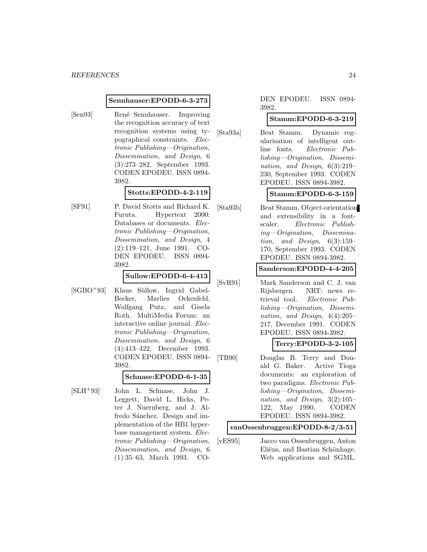#### **Sennhauser:EPODD-6-3-273**

[Sen93] Ren´e Sennhauser. Improving the recognition accuracy of text recognition systems using typographical constraints. Electronic Publishing—Origination, Dissemination, and Design, 6 (3):273–282, September 1993. CODEN EPODEU. ISSN 0894- 3982.

#### **Stotts:EPODD-4-2-119**

[SF91] P. David Stotts and Richard K. Furuta. Hypertext 2000: Databases or documents. Electronic Publishing—Origination, Dissemination, and Design, 4 (2):119–121, June 1991. CO-DEN EPODEU. ISSN 0894- 3982.

# **Sullow:EPODD-6-4-413**

[SGBO<sup>+</sup>93] Klaus Süllow, Ingrid Gabel-Becker, Marlies Ockenfeld, Wolfgang Putz, and Gisela Roth. MultiMedia Forum: an interactive online journal. Electronic Publishing—Origination, Dissemination, and Design, 6 (4):413–422, December 1993. CODEN EPODEU. ISSN 0894- 3982.

#### **Schnase:EPODD-6-1-35**

[SLH<sup>+</sup>93] John L. Schnase, John J. Leggett, David L. Hicks, Peter J. Nuernberg, and J. Alfredo Sánchez. Design and implementation of the HB1 hyperbase management system. Electronic Publishing—Origination, Dissemination, and Design, 6 (1):35–63, March 1993. CO-

#### DEN EPODEU. ISSN 0894- 3982.

#### **Stamm:EPODD-6-3-219**

[Sta93a] Beat Stamm. Dynamic regularisation of intelligent outline fonts. Electronic Publishing—Origination, Dissemination, and Design, 6(3):219– 230, September 1993. CODEN EPODEU. ISSN 0894-3982.

#### **Stamm:EPODD-6-3-159**

[Sta93b] Beat Stamm. Object-orientation and extensibility in a fontscaler. Electronic Publishing—Origination, Dissemination, and Design,  $6(3):159-$ 170, September 1993. CODEN EPODEU. ISSN 0894-3982.

**Sanderson:EPODD-4-4-205**

[SvR91] Mark Sanderson and C. J. van Rijsbergen. NRT: news retrieval tool. Electronic Publishing—Origination, Dissemination, and Design, 4(4):205– 217, December 1991. CODEN EPODEU. ISSN 0894-3982.

**Terry:EPODD-3-2-105**

[TB90] Douglas B. Terry and Donald G. Baker. Active Tioga documents: an exploration of two paradigms. Electronic Publishing—Origination, Dissemination, and Design, 3(2):105– 122, May 1990. CODEN EPODEU. ISSN 0894-3982.

#### **vanOssenbruggen:EPODD-8-2/3-51**

[vES95] Jacco van Ossenbruggen, Anton Eliëns, and Bastian Schönhage. Web applications and SGML.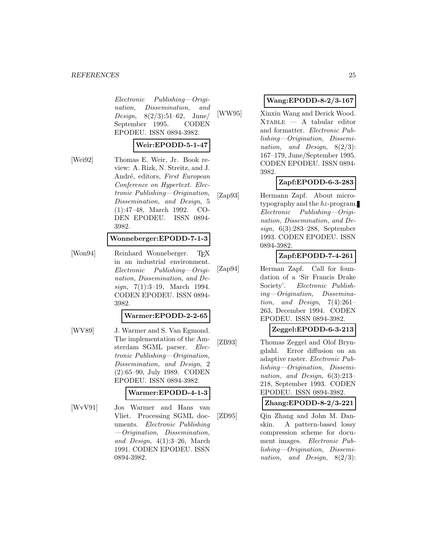#### *REFERENCES* 25

Electronic Publishing—Origination, Dissemination, and Design, 8(2/3):51–62, June/ September 1995. CODEN EPODEU. ISSN 0894-3982.

#### **Weir:EPODD-5-1-47**

[Wei92] Thomas E. Weir, Jr. Book review: A. Rizk, N. Streitz, and J. André, editors, First European Conference on Hypertext. Electronic Publishing—Origination, Dissemination, and Design, 5 (1):47–48, March 1992. CO-DEN EPODEU. ISSN 0894- 3982.

#### **Wonneberger:EPODD-7-1-3**

[Won94] Reinhard Wonneberger. TFX in an industrial environment. Electronic Publishing—Origination, Dissemination, and Design, 7(1):3–19, March 1994. CODEN EPODEU. ISSN 0894- 3982.

#### **Warmer:EPODD-2-2-65**

[WV89] J. Warmer and S. Van Egmond. The implementation of the Amsterdam SGML parser. Electronic Publishing—Origination, Dissemination, and Design, 2 (2):65–90, July 1989. CODEN EPODEU. ISSN 0894-3982.

#### **Warmer:EPODD-4-1-3**

[WvV91] Jos Warmer and Hans van Vliet. Processing SGML documents. Electronic Publishing —Origination, Dissemination, and Design, 4(1):3–26, March 1991. CODEN EPODEU. ISSN 0894-3982.

# **Wang:EPODD-8-2/3-167**

[WW95] Xinxin Wang and Derick Wood.  $X_{TABLE}$   $-$  A tabular editor and formatter. Electronic Publishing—Origination, Dissemination, and Design, 8(2/3): 167–179, June/September 1995. CODEN EPODEU. ISSN 0894- 3982.

# **Zapf:EPODD-6-3-283**

[Zap93] Hermann Zapf. About microtypography and the  $hz$ -program. Electronic Publishing—Origination, Dissemination, and Design, 6(3):283–288, September 1993. CODEN EPODEU. ISSN 0894-3982.

# **Zapf:EPODD-7-4-261**

[Zap94] Herman Zapf. Call for foundation of a 'Sir Francis Drake Society'. Electronic Publishing—Origination, Dissemination, and Design,  $7(4):261-$ 263, December 1994. CODEN EPODEU. ISSN 0894-3982.

# **Zeggel:EPODD-6-3-213**

[ZB93] Thomas Zeggel and Olof Bryngdahl. Error diffusion on an adaptive raster. Electronic Publishing—Origination, Dissemination, and Design, 6(3):213– 218, September 1993. CODEN EPODEU. ISSN 0894-3982.

# **Zhang:EPODD-8-2/3-221**

[ZD95] Qin Zhang and John M. Danskin. A pattern-based lossy compression scheme for document images. Electronic Publishing—Origination, Dissemination, and Design, 8(2/3):